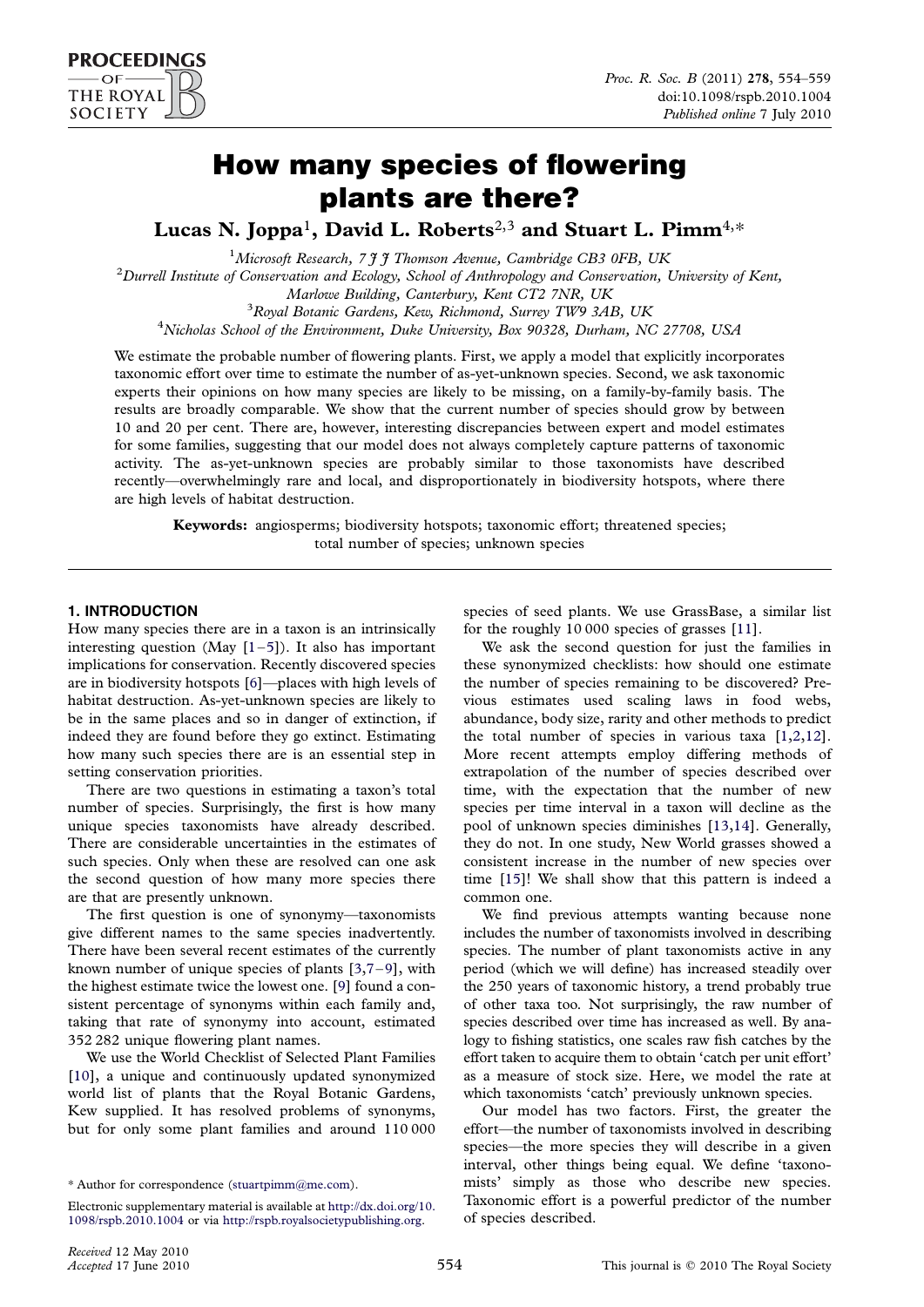# How many species of flowering plants are there?

Lucas N. Joppa<sup>1</sup>, David L. Roberts<sup>2,3</sup> and Stuart L. Pimm<sup>4,\*</sup>

<sup>1</sup>Microsoft Research, 7 J J Thomson Avenue, Cambridge CB3 0FB, UK<br><sup>2</sup>Durrell Institute of Conservation and Ecology, School of Anthropology and Conservation  ${}^{2}$ Durrell Institute of Conservation and Ecology, School of Anthropology and Conservation, University of Kent, Marlowe Building, Canterbury, Kent CT2 7NR, UK <sup>3</sup> <sup>3</sup>Royal Botanic Gardens, Kew, Richmond, Surrey TW9 3AB, UK <sup>4</sup>Nicholas School of the Environment, Duke University, Box 90328, Durham, NC 27708, USA

We estimate the probable number of flowering plants. First, we apply a model that explicitly incorporates taxonomic effort over time to estimate the number of as-yet-unknown species. Second, we ask taxonomic experts their opinions on how many species are likely to be missing, on a family-by-family basis. The results are broadly comparable. We show that the current number of species should grow by between 10 and 20 per cent. There are, however, interesting discrepancies between expert and model estimates for some families, suggesting that our model does not always completely capture patterns of taxonomic activity. The as-yet-unknown species are probably similar to those taxonomists have described recently—overwhelmingly rare and local, and disproportionately in biodiversity hotspots, where there are high levels of habitat destruction.

Keywords: angiosperms; biodiversity hotspots; taxonomic effort; threatened species; total number of species; unknown species

# 1. INTRODUCTION

How many species there are in a taxon is an intrinsically interesting question (May  $[1-5]$  $[1-5]$  $[1-5]$  $[1-5]$ ). It also has important implications for conservation. Recently discovered species are in biodiversity hotspots [[6\]](#page-5-0)—places with high levels of habitat destruction. As-yet-unknown species are likely to be in the same places and so in danger of extinction, if indeed they are found before they go extinct. Estimating how many such species there are is an essential step in setting conservation priorities.

There are two questions in estimating a taxon's total number of species. Surprisingly, the first is how many unique species taxonomists have already described. There are considerable uncertainties in the estimates of such species. Only when these are resolved can one ask the second question of how many more species there are that are presently unknown.

The first question is one of synonymy—taxonomists give different names to the same species inadvertently. There have been several recent estimates of the currently known number of unique species of plants [\[3,7](#page-5-0)–[9](#page-5-0)], with the highest estimate twice the lowest one. [[9\]](#page-5-0) found a consistent percentage of synonyms within each family and, taking that rate of synonymy into account, estimated 352 282 unique flowering plant names.

We use the World Checklist of Selected Plant Families [\[10\]](#page-5-0), a unique and continuously updated synonymized world list of plants that the Royal Botanic Gardens, Kew supplied. It has resolved problems of synonyms, but for only some plant families and around 110 000

\* Author for correspondence ([stuartpimm@me.com\)](mailto:stuartpimm@me.com).

species of seed plants. We use GrassBase, a similar list for the roughly 10 000 species of grasses [[11](#page-5-0)].

We ask the second question for just the families in these synonymized checklists: how should one estimate the number of species remaining to be discovered? Previous estimates used scaling laws in food webs, abundance, body size, rarity and other methods to predict the total number of species in various taxa [[1](#page-5-0),[2](#page-5-0),[12](#page-5-0)]. More recent attempts employ differing methods of extrapolation of the number of species described over time, with the expectation that the number of new species per time interval in a taxon will decline as the pool of unknown species diminishes [\[13,14](#page-5-0)]. Generally, they do not. In one study, New World grasses showed a consistent increase in the number of new species over time [\[15\]](#page-5-0)! We shall show that this pattern is indeed a common one.

We find previous attempts wanting because none includes the number of taxonomists involved in describing species. The number of plant taxonomists active in any period (which we will define) has increased steadily over the 250 years of taxonomic history, a trend probably true of other taxa too. Not surprisingly, the raw number of species described over time has increased as well. By analogy to fishing statistics, one scales raw fish catches by the effort taken to acquire them to obtain 'catch per unit effort' as a measure of stock size. Here, we model the rate at which taxonomists 'catch' previously unknown species.

Our model has two factors. First, the greater the effort—the number of taxonomists involved in describing species—the more species they will describe in a given interval, other things being equal. We define 'taxonomists' simply as those who describe new species. Taxonomic effort is a powerful predictor of the number of species described.

**PROCEEDINGS**  $OF<sup>2</sup>$ THE ROYAL **SOCIETY** 

Electronic supplementary material is available at [http://dx.doi.org/10.](http://dx.doi.org/10.1098/rspb.2010.1004) [1098/rspb.2010.1004](http://dx.doi.org/10.1098/rspb.2010.1004) or via [http://rspb.royalsocietypublishing.org.](http://rspb.royalsocietypublishing.org)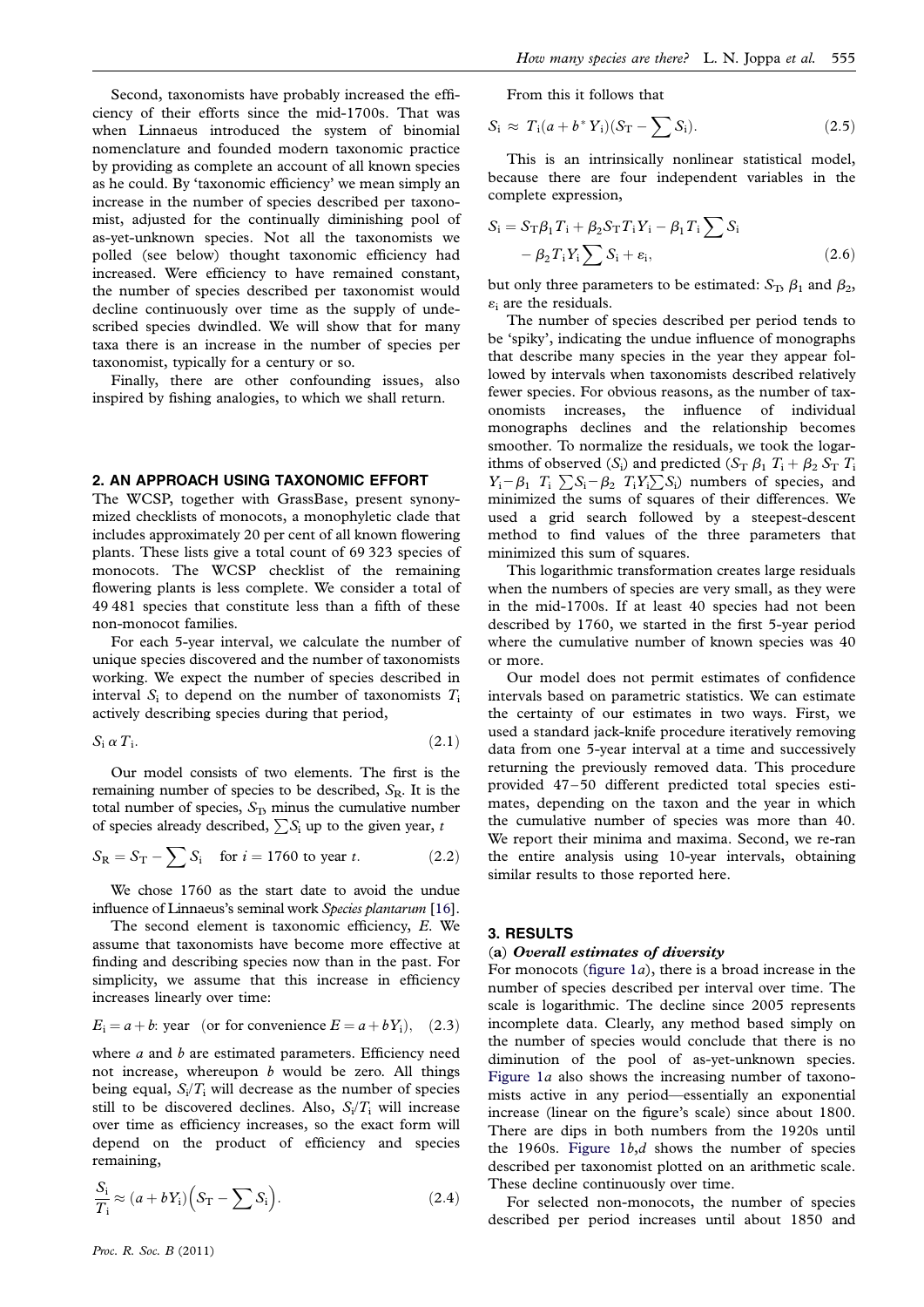Second, taxonomists have probably increased the efficiency of their efforts since the mid-1700s. That was when Linnaeus introduced the system of binomial nomenclature and founded modern taxonomic practice by providing as complete an account of all known species as he could. By 'taxonomic efficiency' we mean simply an increase in the number of species described per taxonomist, adjusted for the continually diminishing pool of as-yet-unknown species. Not all the taxonomists we polled (see below) thought taxonomic efficiency had increased. Were efficiency to have remained constant, the number of species described per taxonomist would decline continuously over time as the supply of undescribed species dwindled. We will show that for many taxa there is an increase in the number of species per taxonomist, typically for a century or so.

Finally, there are other confounding issues, also inspired by fishing analogies, to which we shall return.

### 2. AN APPROACH USING TAXONOMIC EFFORT

The WCSP, together with GrassBase, present synonymized checklists of monocots, a monophyletic clade that includes approximately 20 per cent of all known flowering plants. These lists give a total count of 69 323 species of monocots. The WCSP checklist of the remaining flowering plants is less complete. We consider a total of 49 481 species that constitute less than a fifth of these non-monocot families.

For each 5-year interval, we calculate the number of unique species discovered and the number of taxonomists working. We expect the number of species described in interval  $S_i$  to depend on the number of taxonomists  $T_i$ actively describing species during that period,

$$
S_i \alpha T_i. \tag{2.1}
$$

Our model consists of two elements. The first is the remaining number of species to be described,  $S_R$ . It is the total number of species,  $S<sub>T</sub>$ , minus the cumulative number of species already described,  $\sum S_i$  up to the given year, t

$$
S_{\rm R} = S_{\rm T} - \sum S_{\rm i} \quad \text{for } i = 1760 \text{ to year } t. \tag{2.2}
$$

We chose 1760 as the start date to avoid the undue influence of Linnaeus's seminal work Species plantarum [\[16](#page-5-0)].

The second element is taxonomic efficiency, E. We assume that taxonomists have become more effective at finding and describing species now than in the past. For simplicity, we assume that this increase in efficiency increases linearly over time:

$$
E_i = a + b
$$
: year (or for convenience  $E = a + bY_i$ ), (2.3)

where  $a$  and  $b$  are estimated parameters. Efficiency need not increase, whereupon  $b$  would be zero. All things being equal,  $S_i/T_i$  will decrease as the number of species still to be discovered declines. Also,  $S_i/T_i$  will increase over time as efficiency increases, so the exact form will depend on the product of efficiency and species remaining,

$$
\frac{S_i}{T_i} \approx (a + bY_i) \Big( S_T - \sum S_i \Big). \tag{2.4}
$$

$$
S_i \approx T_i(a+b^*Y_i)(S_T - \sum S_i). \tag{2.5}
$$

This is an intrinsically nonlinear statistical model, because there are four independent variables in the complete expression,

$$
S_i = S_{\mathrm{T}} \beta_1 T_i + \beta_2 S_{\mathrm{T}} T_i Y_i - \beta_1 T_i \sum S_i
$$
  
-  $\beta_2 T_i Y_i \sum S_i + \varepsilon_i,$  (2.6)

but only three parameters to be estimated:  $S_T$ ,  $\beta_1$  and  $\beta_2$ ,  $\varepsilon$ <sub>i</sub> are the residuals.

The number of species described per period tends to be 'spiky', indicating the undue influence of monographs that describe many species in the year they appear followed by intervals when taxonomists described relatively fewer species. For obvious reasons, as the number of taxonomists increases, the influence of individual monographs declines and the relationship becomes smoother. To normalize the residuals, we took the logarithms of observed  $(S_i)$  and predicted  $(S_T \beta_1 T_i + \beta_2 S_T T_i)$  $Y_i - \beta_1$   $T_i$   $\sum S_i - \beta_2$   $T_iY_i \sum S_i$ ) numbers of species, and minimized the sums of squares of their differences. We used a grid search followed by a steepest-descent method to find values of the three parameters that minimized this sum of squares.

This logarithmic transformation creates large residuals when the numbers of species are very small, as they were in the mid-1700s. If at least 40 species had not been described by 1760, we started in the first 5-year period where the cumulative number of known species was 40 or more.

Our model does not permit estimates of confidence intervals based on parametric statistics. We can estimate the certainty of our estimates in two ways. First, we used a standard jack-knife procedure iteratively removing data from one 5-year interval at a time and successively returning the previously removed data. This procedure provided 47 –50 different predicted total species estimates, depending on the taxon and the year in which the cumulative number of species was more than 40. We report their minima and maxima. Second, we re-ran the entire analysis using 10-year intervals, obtaining similar results to those reported here.

#### 3. RESULTS

#### (a) Overall estimates of diversity

For monocots (figure  $1a$ ), there is a broad increase in the number of species described per interval over time. The scale is logarithmic. The decline since 2005 represents incomplete data. Clearly, any method based simply on the number of species would conclude that there is no diminution of the pool of as-yet-unknown species. [Figure 1](#page-2-0)a also shows the increasing number of taxonomists active in any period—essentially an exponential increase (linear on the figure's scale) since about 1800. There are dips in both numbers from the 1920s until the 1960s. Figure  $1b,d$  shows the number of species described per taxonomist plotted on an arithmetic scale. These decline continuously over time.

For selected non-monocots, the number of species described per period increases until about 1850 and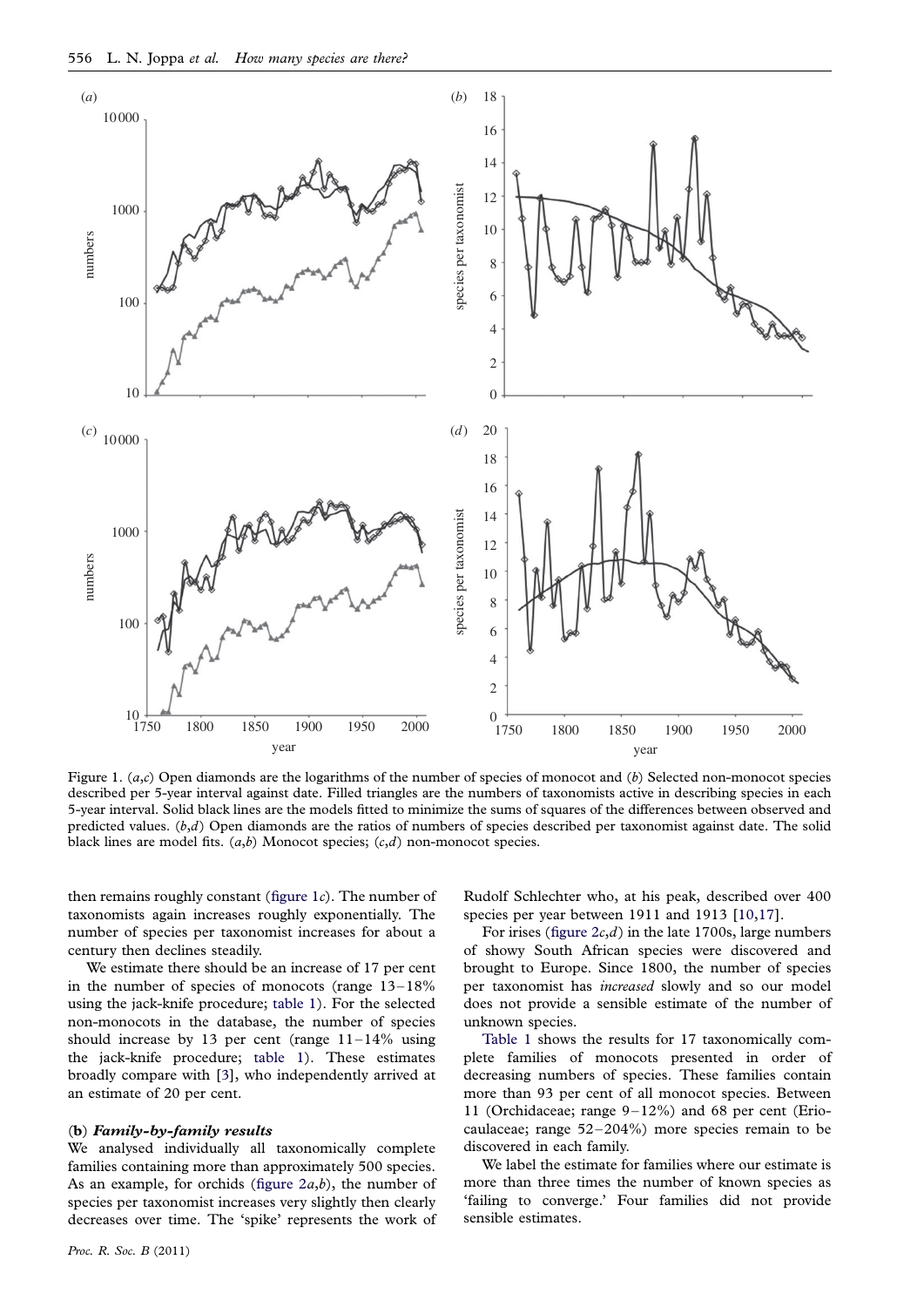<span id="page-2-0"></span>

Figure 1.  $(a, c)$  Open diamonds are the logarithms of the number of species of monocot and  $(b)$  Selected non-monocot species described per 5-year interval against date. Filled triangles are the numbers of taxonomists active in describing species in each 5-year interval. Solid black lines are the models fitted to minimize the sums of squares of the differences between observed and predicted values.  $(b,d)$  Open diamonds are the ratios of numbers of species described per taxonomist against date. The solid black lines are model fits.  $(a,b)$  Monocot species;  $(c,d)$  non-monocot species.

then remains roughly constant (figure  $1c$ ). The number of taxonomists again increases roughly exponentially. The number of species per taxonomist increases for about a century then declines steadily.

We estimate there should be an increase of 17 per cent in the number of species of monocots (range  $13-18\%$ using the jack-knife procedure; [table 1](#page-3-0)). For the selected non-monocots in the database, the number of species should increase by 13 per cent (range  $11-14\%$  using the jack-knife procedure; [table 1](#page-3-0)). These estimates broadly compare with [[3\]](#page-5-0), who independently arrived at an estimate of 20 per cent.

#### (b) Family-by-family results

We analysed individually all taxonomically complete families containing more than approximately 500 species. As an example, for orchids (figure  $2a,b$ ), the number of species per taxonomist increases very slightly then clearly decreases over time. The 'spike' represents the work of Rudolf Schlechter who, at his peak, described over 400 species per year between 1911 and 1913 [[10](#page-5-0),[17](#page-5-0)].

For irises (figure  $2c,d$ ) in the late 1700s, large numbers of showy South African species were discovered and brought to Europe. Since 1800, the number of species per taxonomist has increased slowly and so our model does not provide a sensible estimate of the number of unknown species.

[Table 1](#page-3-0) shows the results for 17 taxonomically complete families of monocots presented in order of decreasing numbers of species. These families contain more than 93 per cent of all monocot species. Between 11 (Orchidaceae; range 9–12%) and 68 per cent (Eriocaulaceae; range 52-204%) more species remain to be discovered in each family.

We label the estimate for families where our estimate is more than three times the number of known species as 'failing to converge.' Four families did not provide sensible estimates.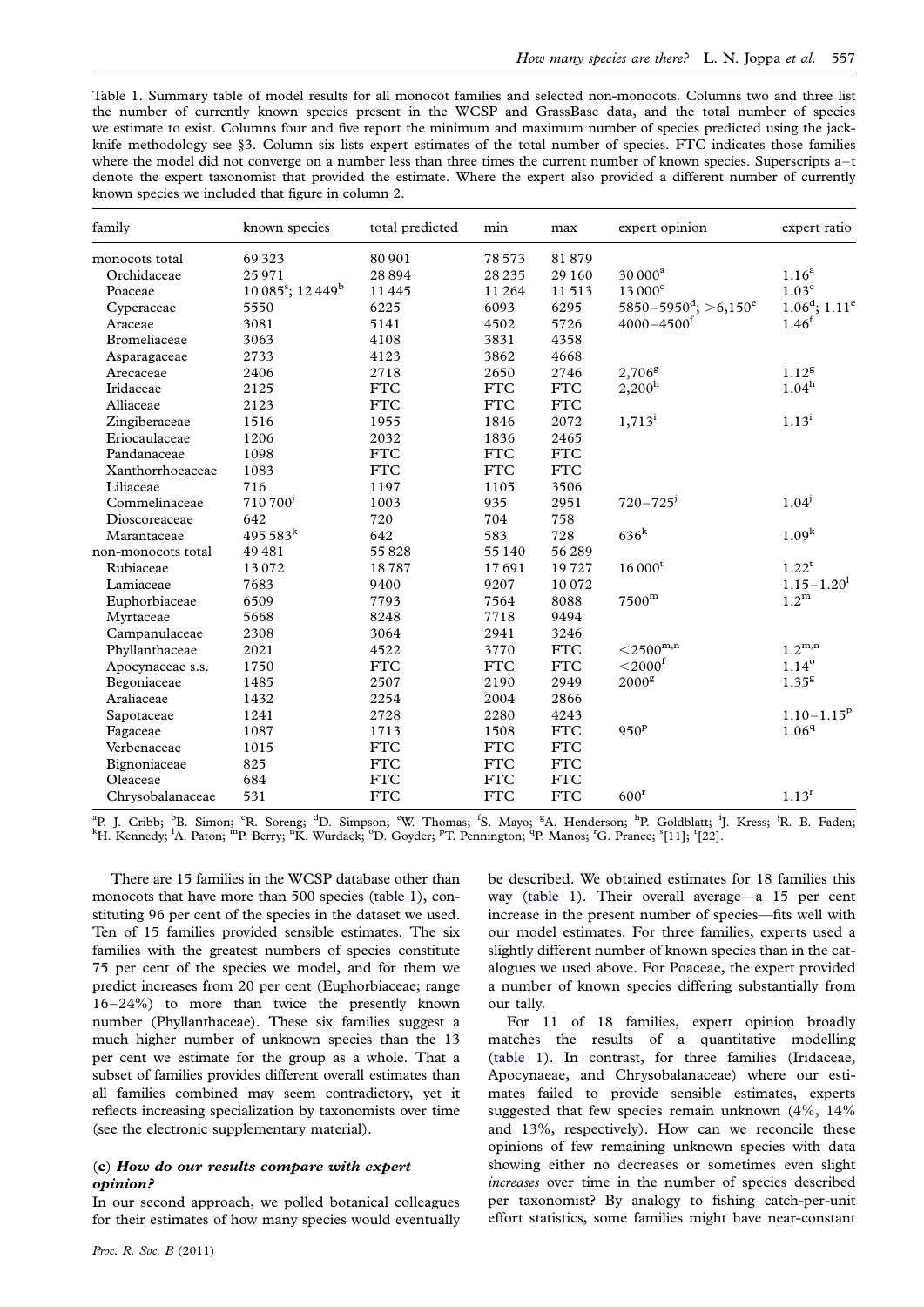<span id="page-3-0"></span>Table 1. Summary table of model results for all monocot families and selected non-monocots. Columns two and three list the number of currently known species present in the WCSP and GrassBase data, and the total number of species we estimate to exist. Columns four and five report the minimum and maximum number of species predicted using the jackknife methodology see §3. Column six lists expert estimates of the total number of species. FTC indicates those families where the model did not converge on a number less than three times the current number of known species. Superscripts a-t denote the expert taxonomist that provided the estimate. Where the expert also provided a different number of currently known species we included that figure in column 2.

| family             | known species                               | total predicted | min        | max          | expert opinion                                      | expert ratio                    |
|--------------------|---------------------------------------------|-----------------|------------|--------------|-----------------------------------------------------|---------------------------------|
| monocots total     | 69 3 23                                     | 80 901          | 78 5 73    | 81879        |                                                     |                                 |
| Orchidaceae        | 25 971                                      | 28894           | 28 2 35    | 29 160       | $30000^a$                                           | 1.16 <sup>a</sup>               |
| Poaceae            | $10\,085^\mathrm{s}$ ; $12\,449^\mathrm{b}$ | 11445           | 11 264     | 11513        | $13000^{\circ}$                                     | 1.03 <sup>c</sup>               |
| Cyperaceae         | 5550                                        | 6225            | 6093       | 6295         | $5850 - 5950$ <sup>d</sup> ; $> 6,150$ <sup>e</sup> | $1.06^{\rm d}$ ; $1.11^{\rm e}$ |
| Araceae            | 3081                                        | 5141            | 4502       | 5726         | $4000 - 4500$ <sup>f</sup>                          | 1.46 <sup>f</sup>               |
| Bromeliaceae       | 3063                                        | 4108            | 3831       | 4358         |                                                     |                                 |
| Asparagaceae       | 2733                                        | 4123            | 3862       | 4668         |                                                     |                                 |
| Arecaceae          | 2406                                        | 2718            | 2650       | 2746         | $2,706^{\rm g}$                                     | 1.12 <sup>g</sup>               |
| Iridaceae          | 2125                                        | <b>FTC</b>      | <b>FTC</b> | $_{\rm FTC}$ | $2,200^{\rm h}$                                     | $1.04^h$                        |
| Alliaceae          | 2123                                        | <b>FTC</b>      | <b>FTC</b> | <b>FTC</b>   |                                                     |                                 |
| Zingiberaceae      | 1516                                        | 1955            | 1846       | 2072         | $1,713^i$                                           | $1.13^{i}$                      |
| Eriocaulaceae      | 1206                                        | 2032            | 1836       | 2465         |                                                     |                                 |
| Pandanaceae        | 1098                                        | <b>FTC</b>      | <b>FTC</b> | <b>FTC</b>   |                                                     |                                 |
| Xanthorrhoeaceae   | 1083                                        | <b>FTC</b>      | <b>FTC</b> | <b>FTC</b>   |                                                     |                                 |
| Liliaceae          | 716                                         | 1197            | 1105       | 3506         |                                                     |                                 |
| Commelinaceae      | 710 700'                                    | 1003            | 935        | 2951         | $720 - 725$ <sup>j</sup>                            | $1.04^{j}$                      |
| Dioscoreaceae      | 642                                         | 720             | 704        | 758          |                                                     |                                 |
| Marantaceae        | $495583^{k}$                                | 642             | 583        | 728          | $636^k$                                             | 1.09 <sup>k</sup>               |
| non-monocots total | 49 481                                      | 55828           | 55 140     | 56289        |                                                     |                                 |
| Rubiaceae          | 13072                                       | 18787           | 17691      | 19727        | $16000^t$                                           | $1.22^t$                        |
| Lamiaceae          | 7683                                        | 9400            | 9207       | 10072        |                                                     | $1.15 - 1.20$ <sup>1</sup>      |
| Euphorbiaceae      | 6509                                        | 7793            | 7564       | 8088         | 7500 <sup>m</sup>                                   | 1.2 <sup>m</sup>                |
| Myrtaceae          | 5668                                        | 8248            | 7718       | 9494         |                                                     |                                 |
| Campanulaceae      | 2308                                        | 3064            | 2941       | 3246         |                                                     |                                 |
| Phyllanthaceae     | 2021                                        | 4522            | 3770       | $_{\rm FTC}$ | ${<}2500^{\mathrm{m,n}}$                            | $1.2^{\rm m,n}$                 |
| Apocynaceae s.s.   | 1750                                        | <b>FTC</b>      | <b>FTC</b> | $_{\rm FTC}$ | $<$ 2000 $^{\rm f}$                                 | $1.14^\circ$                    |
| Begoniaceae        | 1485                                        | 2507            | 2190       | 2949         | 2000 <sup>g</sup>                                   | 1.35 <sup>g</sup>               |
| Araliaceae         | 1432                                        | 2254            | 2004       | 2866         |                                                     |                                 |
| Sapotaceae         | 1241                                        | 2728            | 2280       | 4243         |                                                     | $1.10 - 1.15^p$                 |
| Fagaceae           | 1087                                        | 1713            | 1508       | $_{\rm FTC}$ | 950 <sup>p</sup>                                    | 1.06 <sup>q</sup>               |
| Verbenaceae        | 1015                                        | <b>FTC</b>      | <b>FTC</b> | <b>FTC</b>   |                                                     |                                 |
| Bignoniaceae       | 825                                         | <b>FTC</b>      | <b>FTC</b> | <b>FTC</b>   |                                                     |                                 |
| Oleaceae           | 684                                         | <b>FTC</b>      | <b>FTC</b> | <b>FTC</b>   |                                                     |                                 |
| Chrysobalanaceae   | 531                                         | <b>FTC</b>      | <b>FTC</b> | <b>FTC</b>   | 600 <sup>r</sup>                                    | 1.13 <sup>r</sup>               |

<sup>a</sup>P. J. Cribb; <sup>b</sup>B. Simon; <sup>c</sup>R. Soreng; <sup>d</sup>D. Simpson; °W. Thomas; <sup>f</sup>S. Mayo; <sup>g</sup>A. Henderson; <sup>h</sup>P. Goldblatt; <sup>i</sup>J. Kress; <sup>j</sup>R. B. Faden;<br><sup>k</sup>H. Kennedy; <sup>l</sup>A. Paton; "P. Berry; "K. Wurdack; °D. Goyder; <sup>p</sup>T. Penning

There are 15 families in the WCSP database other than monocots that have more than 500 species (table 1), constituting 96 per cent of the species in the dataset we used. Ten of 15 families provided sensible estimates. The six families with the greatest numbers of species constitute 75 per cent of the species we model, and for them we predict increases from 20 per cent (Euphorbiaceae; range 16–24%) to more than twice the presently known number (Phyllanthaceae). These six families suggest a much higher number of unknown species than the 13 per cent we estimate for the group as a whole. That a subset of families provides different overall estimates than all families combined may seem contradictory, yet it reflects increasing specialization by taxonomists over time (see the electronic supplementary material).

## (c) How do our results compare with expert opinion?

In our second approach, we polled botanical colleagues for their estimates of how many species would eventually

Proc. R. Soc. B (2011)

be described. We obtained estimates for 18 families this way (table 1). Their overall average—a 15 per cent increase in the present number of species—fits well with our model estimates. For three families, experts used a slightly different number of known species than in the catalogues we used above. For Poaceae, the expert provided a number of known species differing substantially from our tally.

For 11 of 18 families, expert opinion broadly matches the results of a quantitative modelling (table 1). In contrast, for three families (Iridaceae, Apocynaeae, and Chrysobalanaceae) where our estimates failed to provide sensible estimates, experts suggested that few species remain unknown (4%, 14% and 13%, respectively). How can we reconcile these opinions of few remaining unknown species with data showing either no decreases or sometimes even slight increases over time in the number of species described per taxonomist? By analogy to fishing catch-per-unit effort statistics, some families might have near-constant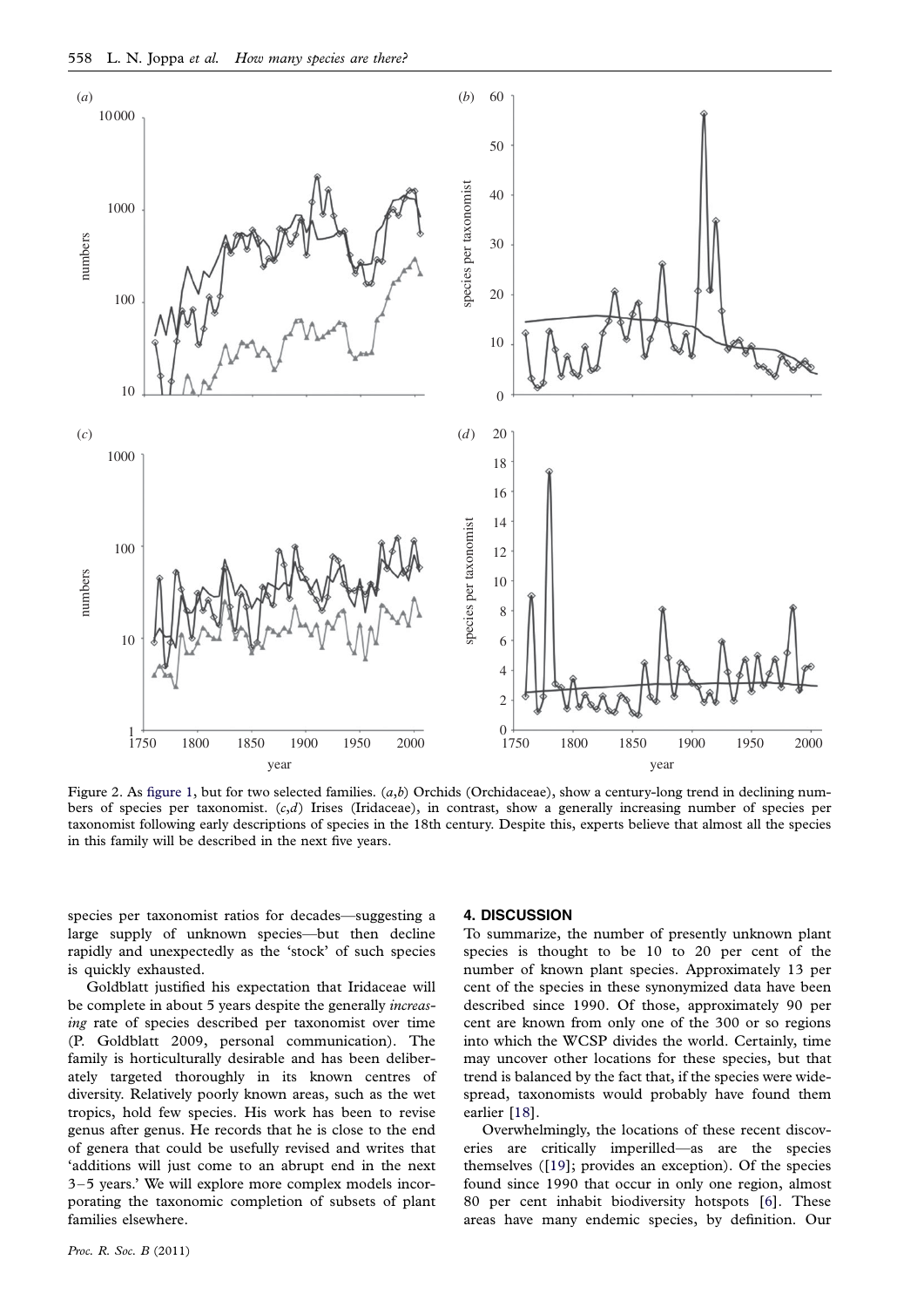<span id="page-4-0"></span>

Figure 2. As [figure 1,](#page-2-0) but for two selected families.  $(a,b)$  Orchids (Orchidaceae), show a century-long trend in declining numbers of species per taxonomist.  $(c,d)$  Irises (Iridaceae), in contrast, show a generally increasing number of species per taxonomist following early descriptions of species in the 18th century. Despite this, experts believe that almost all the species in this family will be described in the next five years.

species per taxonomist ratios for decades—suggesting a large supply of unknown species—but then decline rapidly and unexpectedly as the 'stock' of such species is quickly exhausted.

Goldblatt justified his expectation that Iridaceae will be complete in about 5 years despite the generally *increas*ing rate of species described per taxonomist over time (P. Goldblatt 2009, personal communication). The family is horticulturally desirable and has been deliberately targeted thoroughly in its known centres of diversity. Relatively poorly known areas, such as the wet tropics, hold few species. His work has been to revise genus after genus. He records that he is close to the end of genera that could be usefully revised and writes that 'additions will just come to an abrupt end in the next 3–5 years.' We will explore more complex models incorporating the taxonomic completion of subsets of plant families elsewhere.

# 4. DISCUSSION

To summarize, the number of presently unknown plant species is thought to be 10 to 20 per cent of the number of known plant species. Approximately 13 per cent of the species in these synonymized data have been described since 1990. Of those, approximately 90 per cent are known from only one of the 300 or so regions into which the WCSP divides the world. Certainly, time may uncover other locations for these species, but that trend is balanced by the fact that, if the species were widespread, taxonomists would probably have found them earlier [\[18\]](#page-5-0).

Overwhelmingly, the locations of these recent discoveries are critically imperilled—as are the species themselves ([\[19\]](#page-5-0); provides an exception). Of the species found since 1990 that occur in only one region, almost 80 per cent inhabit biodiversity hotspots [[6\]](#page-5-0). These areas have many endemic species, by definition. Our